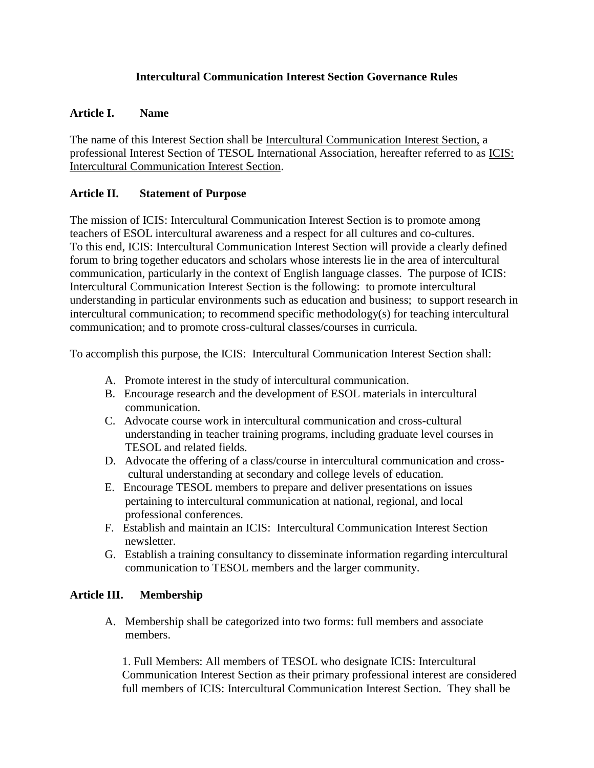# **Intercultural Communication Interest Section Governance Rules**

# **Article I. Name**

The name of this Interest Section shall be Intercultural Communication Interest Section, a professional Interest Section of TESOL International Association, hereafter referred to as ICIS: Intercultural Communication Interest Section.

# **Article II. Statement of Purpose**

The mission of ICIS: Intercultural Communication Interest Section is to promote among teachers of ESOL intercultural awareness and a respect for all cultures and co-cultures. To this end, ICIS: Intercultural Communication Interest Section will provide a clearly defined forum to bring together educators and scholars whose interests lie in the area of intercultural communication, particularly in the context of English language classes. The purpose of ICIS: Intercultural Communication Interest Section is the following: to promote intercultural understanding in particular environments such as education and business; to support research in intercultural communication; to recommend specific methodology(s) for teaching intercultural communication; and to promote cross-cultural classes/courses in curricula.

To accomplish this purpose, the ICIS: Intercultural Communication Interest Section shall:

- A. Promote interest in the study of intercultural communication.
- B. Encourage research and the development of ESOL materials in intercultural communication.
- C. Advocate course work in intercultural communication and cross-cultural understanding in teacher training programs, including graduate level courses in TESOL and related fields.
- D. Advocate the offering of a class/course in intercultural communication and cross cultural understanding at secondary and college levels of education.
- E. Encourage TESOL members to prepare and deliver presentations on issues pertaining to intercultural communication at national, regional, and local professional conferences.
- F. Establish and maintain an ICIS: Intercultural Communication Interest Section newsletter.
- G. Establish a training consultancy to disseminate information regarding intercultural communication to TESOL members and the larger community.

# **Article III. Membership**

A. Membership shall be categorized into two forms: full members and associate members.

1. Full Members: All members of TESOL who designate ICIS: Intercultural Communication Interest Section as their primary professional interest are considered full members of ICIS: Intercultural Communication Interest Section. They shall be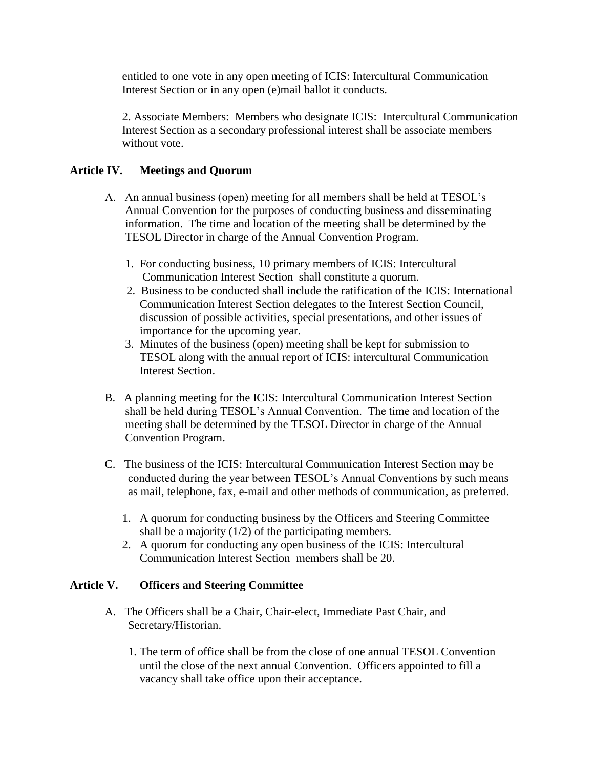entitled to one vote in any open meeting of ICIS: Intercultural Communication Interest Section or in any open (e)mail ballot it conducts.

2. Associate Members: Members who designate ICIS: Intercultural Communication Interest Section as a secondary professional interest shall be associate members without vote.

# **Article IV. Meetings and Quorum**

- A. An annual business (open) meeting for all members shall be held at TESOL's Annual Convention for the purposes of conducting business and disseminating information. The time and location of the meeting shall be determined by the TESOL Director in charge of the Annual Convention Program.
	- 1. For conducting business, 10 primary members of ICIS: Intercultural Communication Interest Section shall constitute a quorum.
	- 2. Business to be conducted shall include the ratification of the ICIS: International Communication Interest Section delegates to the Interest Section Council, discussion of possible activities, special presentations, and other issues of importance for the upcoming year.
	- 3. Minutes of the business (open) meeting shall be kept for submission to TESOL along with the annual report of ICIS: intercultural Communication Interest Section.
- B. A planning meeting for the ICIS: Intercultural Communication Interest Section shall be held during TESOL's Annual Convention. The time and location of the meeting shall be determined by the TESOL Director in charge of the Annual Convention Program.
- C. The business of the ICIS: Intercultural Communication Interest Section may be conducted during the year between TESOL's Annual Conventions by such means as mail, telephone, fax, e-mail and other methods of communication, as preferred.
	- 1. A quorum for conducting business by the Officers and Steering Committee shall be a majority  $(1/2)$  of the participating members.
	- 2. A quorum for conducting any open business of the ICIS: Intercultural Communication Interest Section members shall be 20.

# **Article V. Officers and Steering Committee**

- A. The Officers shall be a Chair, Chair-elect, Immediate Past Chair, and Secretary/Historian.
	- 1. The term of office shall be from the close of one annual TESOL Convention until the close of the next annual Convention. Officers appointed to fill a vacancy shall take office upon their acceptance.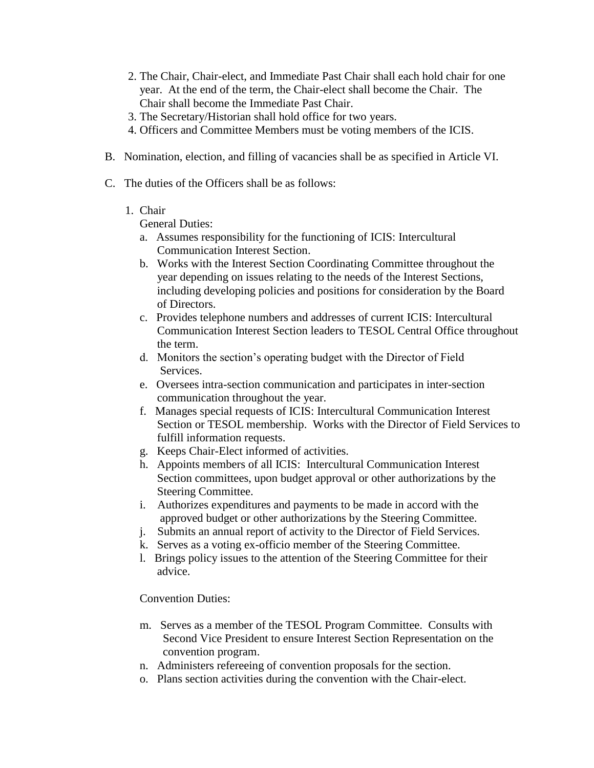- 2. The Chair, Chair-elect, and Immediate Past Chair shall each hold chair for one year. At the end of the term, the Chair-elect shall become the Chair. The Chair shall become the Immediate Past Chair.
- 3. The Secretary/Historian shall hold office for two years.
- 4. Officers and Committee Members must be voting members of the ICIS.
- B. Nomination, election, and filling of vacancies shall be as specified in Article VI.
- C. The duties of the Officers shall be as follows:
	- 1. Chair

General Duties:

- a. Assumes responsibility for the functioning of ICIS: Intercultural Communication Interest Section.
- b. Works with the Interest Section Coordinating Committee throughout the year depending on issues relating to the needs of the Interest Sections, including developing policies and positions for consideration by the Board of Directors.
- c. Provides telephone numbers and addresses of current ICIS: Intercultural Communication Interest Section leaders to TESOL Central Office throughout the term.
- d. Monitors the section's operating budget with the Director of Field Services.
- e. Oversees intra-section communication and participates in inter-section communication throughout the year.
- f. Manages special requests of ICIS: Intercultural Communication Interest Section or TESOL membership. Works with the Director of Field Services to fulfill information requests.
- g. Keeps Chair-Elect informed of activities.
- h. Appoints members of all ICIS: Intercultural Communication Interest Section committees, upon budget approval or other authorizations by the Steering Committee.
- i. Authorizes expenditures and payments to be made in accord with the approved budget or other authorizations by the Steering Committee.
- j. Submits an annual report of activity to the Director of Field Services.
- k. Serves as a voting ex-officio member of the Steering Committee.
- l. Brings policy issues to the attention of the Steering Committee for their advice.

# Convention Duties:

- m. Serves as a member of the TESOL Program Committee. Consults with Second Vice President to ensure Interest Section Representation on the convention program.
- n. Administers refereeing of convention proposals for the section.
- o. Plans section activities during the convention with the Chair-elect.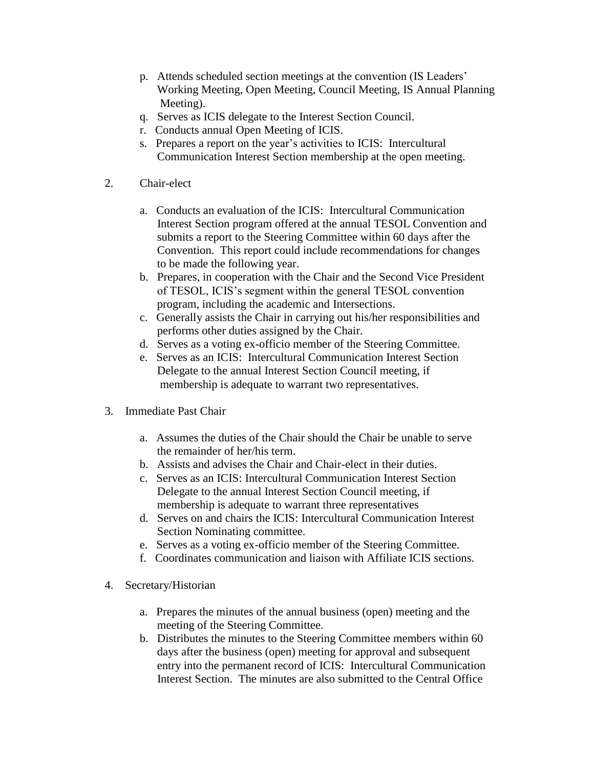- p. Attends scheduled section meetings at the convention (IS Leaders' Working Meeting, Open Meeting, Council Meeting, IS Annual Planning Meeting).
- q. Serves as ICIS delegate to the Interest Section Council.
- r. Conducts annual Open Meeting of ICIS.
- s. Prepares a report on the year's activities to ICIS: Intercultural Communication Interest Section membership at the open meeting.
- 2. Chair-elect
	- a. Conducts an evaluation of the ICIS: Intercultural Communication Interest Section program offered at the annual TESOL Convention and submits a report to the Steering Committee within 60 days after the Convention. This report could include recommendations for changes to be made the following year.
	- b. Prepares, in cooperation with the Chair and the Second Vice President of TESOL, ICIS's segment within the general TESOL convention program, including the academic and Intersections.
	- c. Generally assists the Chair in carrying out his/her responsibilities and performs other duties assigned by the Chair.
	- d. Serves as a voting ex-officio member of the Steering Committee.
	- e. Serves as an ICIS: Intercultural Communication Interest Section Delegate to the annual Interest Section Council meeting, if membership is adequate to warrant two representatives.
- 3. Immediate Past Chair
	- a. Assumes the duties of the Chair should the Chair be unable to serve the remainder of her/his term.
	- b. Assists and advises the Chair and Chair-elect in their duties.
	- c. Serves as an ICIS: Intercultural Communication Interest Section Delegate to the annual Interest Section Council meeting, if membership is adequate to warrant three representatives
	- d. Serves on and chairs the ICIS: Intercultural Communication Interest Section Nominating committee.
	- e. Serves as a voting ex-officio member of the Steering Committee.
	- f. Coordinates communication and liaison with Affiliate ICIS sections.
- 4. Secretary/Historian
	- a. Prepares the minutes of the annual business (open) meeting and the meeting of the Steering Committee.
	- b. Distributes the minutes to the Steering Committee members within 60 days after the business (open) meeting for approval and subsequent entry into the permanent record of ICIS: Intercultural Communication Interest Section. The minutes are also submitted to the Central Office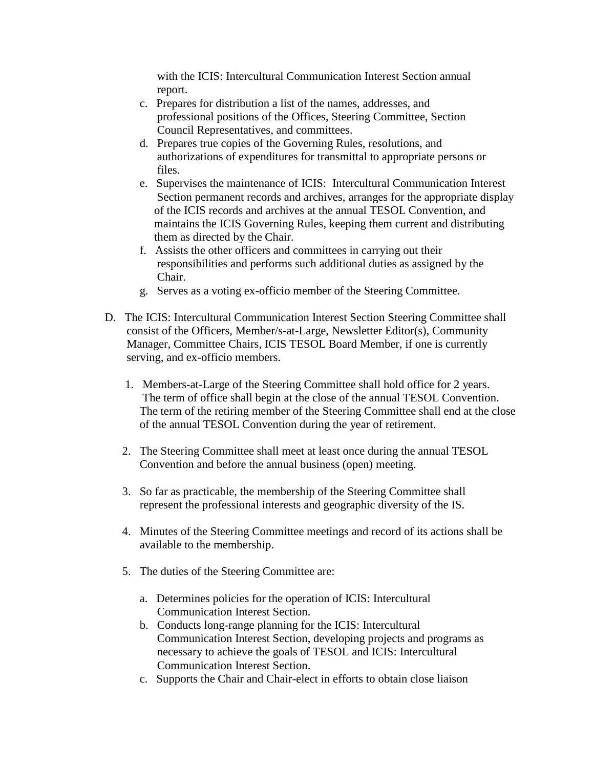with the ICIS: Intercultural Communication Interest Section annual report.

- c. Prepares for distribution a list of the names, addresses, and professional positions of the Offices, Steering Committee, Section Council Representatives, and committees.
- d. Prepares true copies of the Governing Rules, resolutions, and authorizations of expenditures for transmittal to appropriate persons or files.
- e. Supervises the maintenance of ICIS: Intercultural Communication Interest Section permanent records and archives, arranges for the appropriate display of the ICIS records and archives at the annual TESOL Convention, and maintains the ICIS Governing Rules, keeping them current and distributing them as directed by the Chair.
- f. Assists the other officers and committees in carrying out their responsibilities and performs such additional duties as assigned by the Chair.
- g. Serves as a voting ex-officio member of the Steering Committee.
- D. The ICIS: Intercultural Communication Interest Section Steering Committee shall consist of the Officers, Member/s-at-Large, Newsletter Editor(s), Community Manager, Committee Chairs, ICIS TESOL Board Member, if one is currently serving, and ex-officio members.
	- 1. Members-at-Large of the Steering Committee shall hold office for 2 years. The term of office shall begin at the close of the annual TESOL Convention. The term of the retiring member of the Steering Committee shall end at the close of the annual TESOL Convention during the year of retirement.
	- 2. The Steering Committee shall meet at least once during the annual TESOL Convention and before the annual business (open) meeting.
	- 3. So far as practicable, the membership of the Steering Committee shall represent the professional interests and geographic diversity of the IS.
	- 4. Minutes of the Steering Committee meetings and record of its actions shall be available to the membership.
	- 5. The duties of the Steering Committee are:
		- a. Determines policies for the operation of ICIS: Intercultural Communication Interest Section.
		- b. Conducts long-range planning for the ICIS: Intercultural Communication Interest Section, developing projects and programs as necessary to achieve the goals of TESOL and ICIS: Intercultural Communication Interest Section.
		- c. Supports the Chair and Chair-elect in efforts to obtain close liaison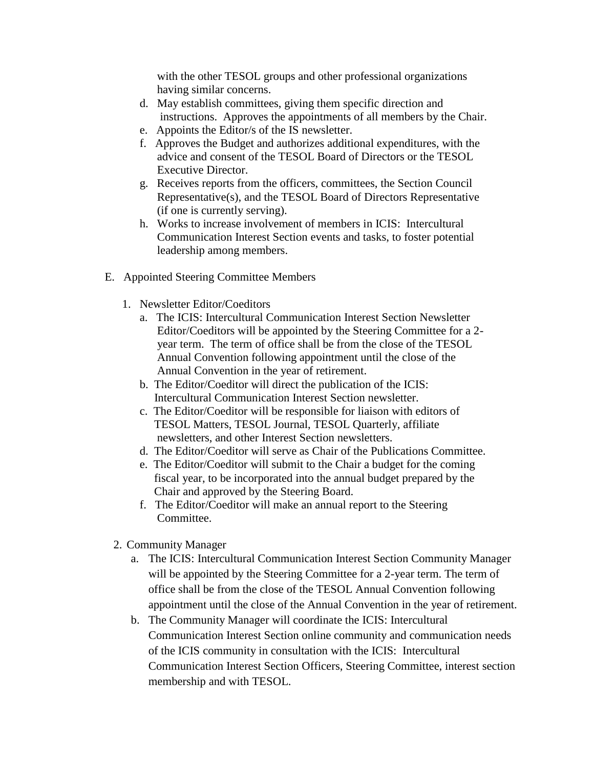with the other TESOL groups and other professional organizations having similar concerns.

- d. May establish committees, giving them specific direction and instructions. Approves the appointments of all members by the Chair.
- e. Appoints the Editor/s of the IS newsletter.
- f. Approves the Budget and authorizes additional expenditures, with the advice and consent of the TESOL Board of Directors or the TESOL Executive Director.
- g. Receives reports from the officers, committees, the Section Council Representative(s), and the TESOL Board of Directors Representative (if one is currently serving).
- h. Works to increase involvement of members in ICIS: Intercultural Communication Interest Section events and tasks, to foster potential leadership among members.
- E. Appointed Steering Committee Members
	- 1. Newsletter Editor/Coeditors
		- a. The ICIS: Intercultural Communication Interest Section Newsletter Editor/Coeditors will be appointed by the Steering Committee for a 2 year term. The term of office shall be from the close of the TESOL Annual Convention following appointment until the close of the Annual Convention in the year of retirement.
		- b. The Editor/Coeditor will direct the publication of the ICIS: Intercultural Communication Interest Section newsletter.
		- c. The Editor/Coeditor will be responsible for liaison with editors of TESOL Matters, TESOL Journal, TESOL Quarterly, affiliate newsletters, and other Interest Section newsletters.
		- d. The Editor/Coeditor will serve as Chair of the Publications Committee.
		- e. The Editor/Coeditor will submit to the Chair a budget for the coming fiscal year, to be incorporated into the annual budget prepared by the Chair and approved by the Steering Board.
		- f. The Editor/Coeditor will make an annual report to the Steering Committee.
	- 2. Community Manager
		- a. The ICIS: Intercultural Communication Interest Section Community Manager will be appointed by the Steering Committee for a 2-year term. The term of office shall be from the close of the TESOL Annual Convention following appointment until the close of the Annual Convention in the year of retirement.
		- b. The Community Manager will coordinate the ICIS: Intercultural Communication Interest Section online community and communication needs of the ICIS community in consultation with the ICIS: Intercultural Communication Interest Section Officers, Steering Committee, interest section membership and with TESOL.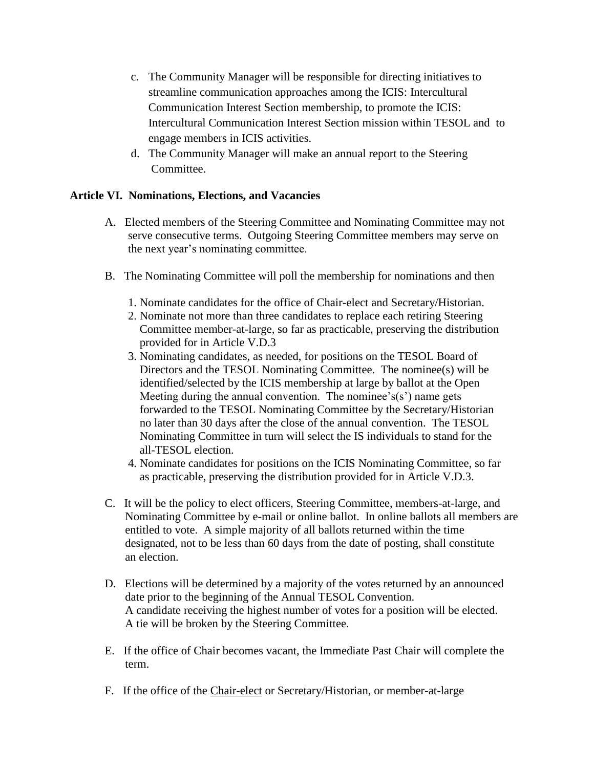- c. The Community Manager will be responsible for directing initiatives to streamline communication approaches among the ICIS: Intercultural Communication Interest Section membership, to promote the ICIS: Intercultural Communication Interest Section mission within TESOL and to engage members in ICIS activities.
- d. The Community Manager will make an annual report to the Steering Committee.

# **Article VI. Nominations, Elections, and Vacancies**

- A. Elected members of the Steering Committee and Nominating Committee may not serve consecutive terms. Outgoing Steering Committee members may serve on the next year's nominating committee.
- B. The Nominating Committee will poll the membership for nominations and then
	- 1. Nominate candidates for the office of Chair-elect and Secretary/Historian.
	- 2. Nominate not more than three candidates to replace each retiring Steering Committee member-at-large, so far as practicable, preserving the distribution provided for in Article V.D.3
	- 3. Nominating candidates, as needed, for positions on the TESOL Board of Directors and the TESOL Nominating Committee. The nominee(s) will be identified/selected by the ICIS membership at large by ballot at the Open Meeting during the annual convention. The nominee's(s') name gets forwarded to the TESOL Nominating Committee by the Secretary/Historian no later than 30 days after the close of the annual convention. The TESOL Nominating Committee in turn will select the IS individuals to stand for the all-TESOL election.
	- 4. Nominate candidates for positions on the ICIS Nominating Committee, so far as practicable, preserving the distribution provided for in Article V.D.3.
- C. It will be the policy to elect officers, Steering Committee, members-at-large, and Nominating Committee by e-mail or online ballot. In online ballots all members are entitled to vote. A simple majority of all ballots returned within the time designated, not to be less than 60 days from the date of posting, shall constitute an election.
- D. Elections will be determined by a majority of the votes returned by an announced date prior to the beginning of the Annual TESOL Convention. A candidate receiving the highest number of votes for a position will be elected. A tie will be broken by the Steering Committee.
- E. If the office of Chair becomes vacant, the Immediate Past Chair will complete the term.
- F. If the office of the Chair-elect or Secretary/Historian, or member-at-large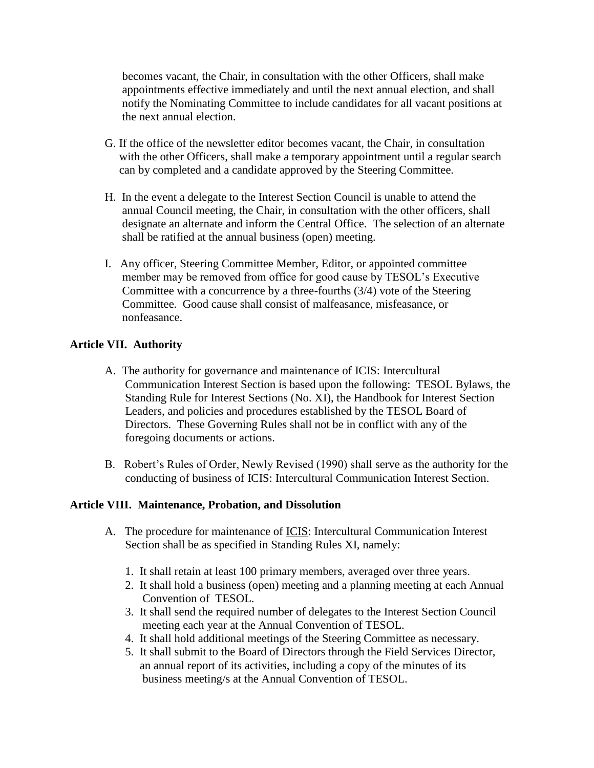becomes vacant, the Chair, in consultation with the other Officers, shall make appointments effective immediately and until the next annual election, and shall notify the Nominating Committee to include candidates for all vacant positions at the next annual election.

- G. If the office of the newsletter editor becomes vacant, the Chair, in consultation with the other Officers, shall make a temporary appointment until a regular search can by completed and a candidate approved by the Steering Committee.
- H. In the event a delegate to the Interest Section Council is unable to attend the annual Council meeting, the Chair, in consultation with the other officers, shall designate an alternate and inform the Central Office. The selection of an alternate shall be ratified at the annual business (open) meeting.
- I. Any officer, Steering Committee Member, Editor, or appointed committee member may be removed from office for good cause by TESOL's Executive Committee with a concurrence by a three-fourths (3/4) vote of the Steering Committee. Good cause shall consist of malfeasance, misfeasance, or nonfeasance.

## **Article VII. Authority**

- A. The authority for governance and maintenance of ICIS: Intercultural Communication Interest Section is based upon the following: TESOL Bylaws, the Standing Rule for Interest Sections (No. XI), the Handbook for Interest Section Leaders, and policies and procedures established by the TESOL Board of Directors. These Governing Rules shall not be in conflict with any of the foregoing documents or actions.
- B. Robert's Rules of Order, Newly Revised (1990) shall serve as the authority for the conducting of business of ICIS: Intercultural Communication Interest Section.

#### **Article VIII. Maintenance, Probation, and Dissolution**

- A. The procedure for maintenance of ICIS: Intercultural Communication Interest Section shall be as specified in Standing Rules XI, namely:
	- 1. It shall retain at least 100 primary members, averaged over three years.
	- 2. It shall hold a business (open) meeting and a planning meeting at each Annual Convention of TESOL.
	- 3. It shall send the required number of delegates to the Interest Section Council meeting each year at the Annual Convention of TESOL.
	- 4. It shall hold additional meetings of the Steering Committee as necessary.
	- 5. It shall submit to the Board of Directors through the Field Services Director, an annual report of its activities, including a copy of the minutes of its business meeting/s at the Annual Convention of TESOL.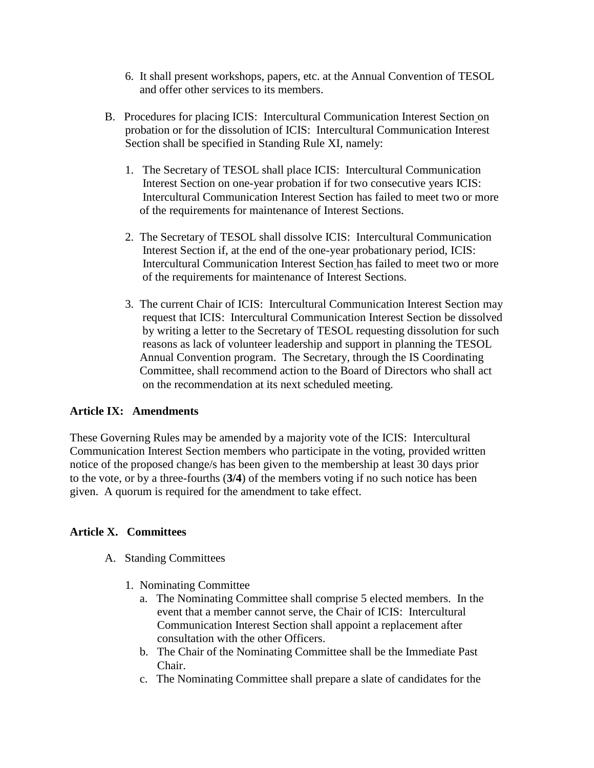- 6. It shall present workshops, papers, etc. at the Annual Convention of TESOL and offer other services to its members.
- B. Procedures for placing ICIS: Intercultural Communication Interest Section on probation or for the dissolution of ICIS: Intercultural Communication Interest Section shall be specified in Standing Rule XI, namely:
	- 1. The Secretary of TESOL shall place ICIS: Intercultural Communication Interest Section on one-year probation if for two consecutive years ICIS: Intercultural Communication Interest Section has failed to meet two or more of the requirements for maintenance of Interest Sections.
	- 2. The Secretary of TESOL shall dissolve ICIS: Intercultural Communication Interest Section if, at the end of the one-year probationary period, ICIS: Intercultural Communication Interest Section has failed to meet two or more of the requirements for maintenance of Interest Sections.
	- 3. The current Chair of ICIS: Intercultural Communication Interest Section may request that ICIS: Intercultural Communication Interest Section be dissolved by writing a letter to the Secretary of TESOL requesting dissolution for such reasons as lack of volunteer leadership and support in planning the TESOL Annual Convention program. The Secretary, through the IS Coordinating Committee, shall recommend action to the Board of Directors who shall act on the recommendation at its next scheduled meeting.

# **Article IX: Amendments**

These Governing Rules may be amended by a majority vote of the ICIS: Intercultural Communication Interest Section members who participate in the voting, provided written notice of the proposed change/s has been given to the membership at least 30 days prior to the vote, or by a three-fourths (**3/4**) of the members voting if no such notice has been given. A quorum is required for the amendment to take effect.

# **Article X. Committees**

- A. Standing Committees
	- 1. Nominating Committee
		- a. The Nominating Committee shall comprise 5 elected members. In the event that a member cannot serve, the Chair of ICIS: Intercultural Communication Interest Section shall appoint a replacement after consultation with the other Officers.
		- b. The Chair of the Nominating Committee shall be the Immediate Past Chair.
		- c. The Nominating Committee shall prepare a slate of candidates for the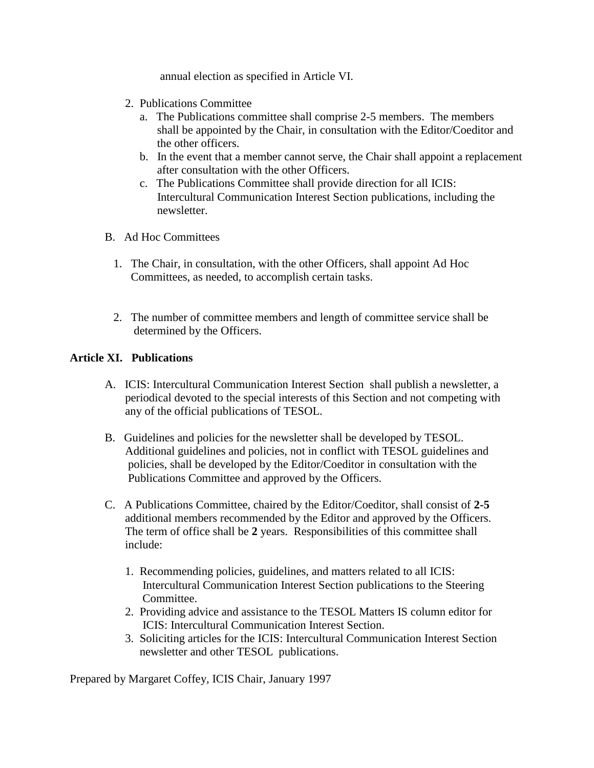annual election as specified in Article VI.

- 2. Publications Committee
	- a. The Publications committee shall comprise 2-5 members. The members shall be appointed by the Chair, in consultation with the Editor/Coeditor and the other officers.
	- b. In the event that a member cannot serve, the Chair shall appoint a replacement after consultation with the other Officers.
	- c. The Publications Committee shall provide direction for all ICIS: Intercultural Communication Interest Section publications, including the newsletter.
- B. Ad Hoc Committees
	- 1. The Chair, in consultation, with the other Officers, shall appoint Ad Hoc Committees, as needed, to accomplish certain tasks.
	- 2. The number of committee members and length of committee service shall be determined by the Officers.

## **Article XI. Publications**

- A. ICIS: Intercultural Communication Interest Section shall publish a newsletter, a periodical devoted to the special interests of this Section and not competing with any of the official publications of TESOL.
- B. Guidelines and policies for the newsletter shall be developed by TESOL. Additional guidelines and policies, not in conflict with TESOL guidelines and policies, shall be developed by the Editor/Coeditor in consultation with the Publications Committee and approved by the Officers.
- C. A Publications Committee, chaired by the Editor/Coeditor, shall consist of **2-5** additional members recommended by the Editor and approved by the Officers. The term of office shall be **2** years. Responsibilities of this committee shall include:
	- 1. Recommending policies, guidelines, and matters related to all ICIS: Intercultural Communication Interest Section publications to the Steering Committee.
	- 2. Providing advice and assistance to the TESOL Matters IS column editor for ICIS: Intercultural Communication Interest Section.
	- 3. Soliciting articles for the ICIS: Intercultural Communication Interest Section newsletter and other TESOL publications.

Prepared by Margaret Coffey, ICIS Chair, January 1997